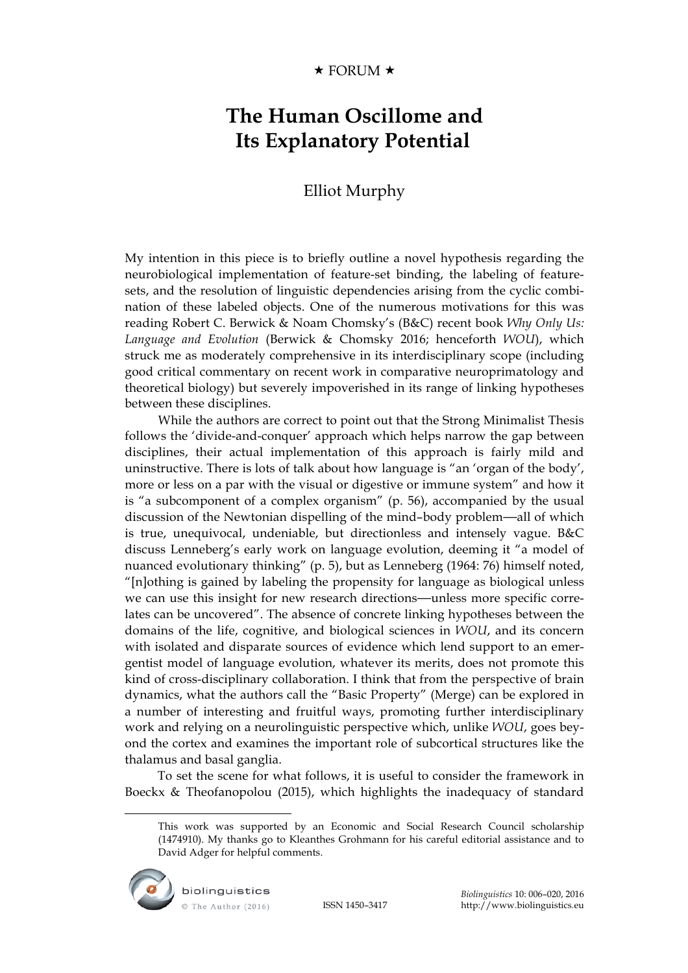## $\star$  FORUM  $\star$

## **The Human Oscillome and Its Explanatory Potential**

## Elliot Murphy

My intention in this piece is to briefly outline a novel hypothesis regarding the neurobiological implementation of feature-set binding, the labeling of featuresets, and the resolution of linguistic dependencies arising from the cyclic combination of these labeled objects. One of the numerous motivations for this was reading Robert C. Berwick & Noam Chomsky's (B&C) recent book *Why Only Us: Language and Evolution* (Berwick & Chomsky 2016; henceforth *WOU*), which struck me as moderately comprehensive in its interdisciplinary scope (including good critical commentary on recent work in comparative neuroprimatology and theoretical biology) but severely impoverished in its range of linking hypotheses between these disciplines.

While the authors are correct to point out that the Strong Minimalist Thesis follows the 'divide-and-conquer' approach which helps narrow the gap between disciplines, their actual implementation of this approach is fairly mild and uninstructive. There is lots of talk about how language is "an 'organ of the body', more or less on a par with the visual or digestive or immune system" and how it is "a subcomponent of a complex organism" (p. 56), accompanied by the usual discussion of the Newtonian dispelling of the mind–body problem—all of which is true, unequivocal, undeniable, but directionless and intensely vague. B&C discuss Lenneberg's early work on language evolution, deeming it "a model of nuanced evolutionary thinking" (p. 5), but as Lenneberg (1964: 76) himself noted, "[n]othing is gained by labeling the propensity for language as biological unless we can use this insight for new research directions—unless more specific correlates can be uncovered". The absence of concrete linking hypotheses between the domains of the life, cognitive, and biological sciences in *WOU*, and its concern with isolated and disparate sources of evidence which lend support to an emergentist model of language evolution, whatever its merits, does not promote this kind of cross-disciplinary collaboration. I think that from the perspective of brain dynamics, what the authors call the "Basic Property" (Merge) can be explored in a number of interesting and fruitful ways, promoting further interdisciplinary work and relying on a neurolinguistic perspective which, unlike *WOU*, goes beyond the cortex and examines the important role of subcortical structures like the thalamus and basal ganglia.

To set the scene for what follows, it is useful to consider the framework in Boeckx & Theofanopolou (2015), which highlights the inadequacy of standard

This work was supported by an Economic and Social Research Council scholarship (1474910). My thanks go to Kleanthes Grohmann for his careful editorial assistance and to David Adger for helpful comments.



 $\overline{a}$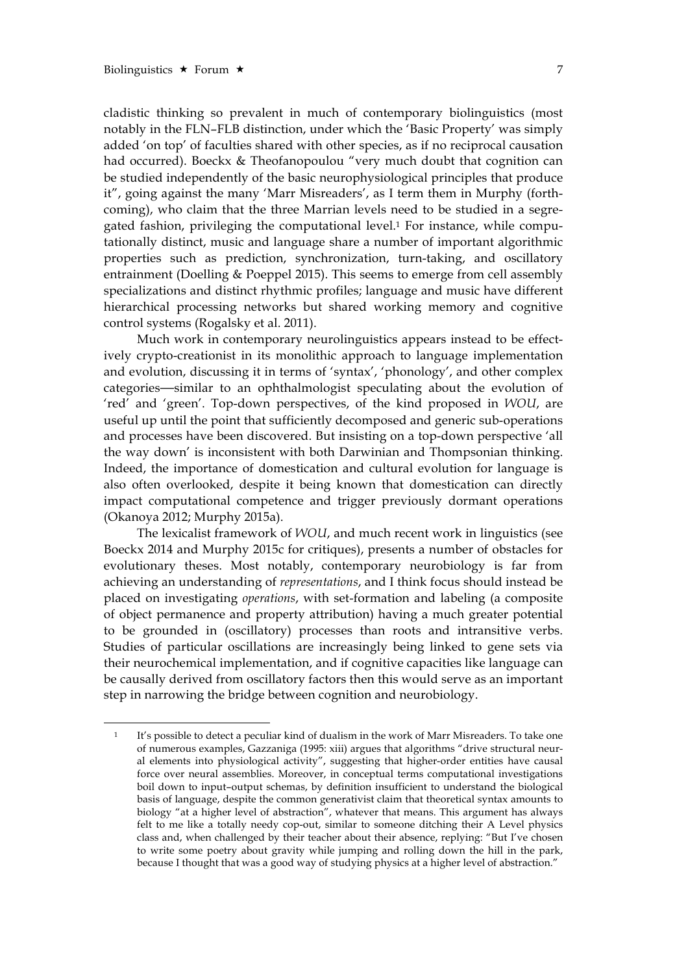$\overline{a}$ 

cladistic thinking so prevalent in much of contemporary biolinguistics (most notably in the FLN–FLB distinction, under which the 'Basic Property' was simply added 'on top' of faculties shared with other species, as if no reciprocal causation had occurred). Boeckx & Theofanopoulou "very much doubt that cognition can be studied independently of the basic neurophysiological principles that produce it", going against the many 'Marr Misreaders', as I term them in Murphy (forthcoming), who claim that the three Marrian levels need to be studied in a segregated fashion, privileging the computational level.1 For instance, while computationally distinct, music and language share a number of important algorithmic properties such as prediction, synchronization, turn-taking, and oscillatory entrainment (Doelling & Poeppel 2015). This seems to emerge from cell assembly specializations and distinct rhythmic profiles; language and music have different hierarchical processing networks but shared working memory and cognitive control systems (Rogalsky et al. 2011).

Much work in contemporary neurolinguistics appears instead to be effectively crypto-creationist in its monolithic approach to language implementation and evolution, discussing it in terms of 'syntax', 'phonology', and other complex categories—similar to an ophthalmologist speculating about the evolution of 'red' and 'green'. Top-down perspectives, of the kind proposed in *WOU*, are useful up until the point that sufficiently decomposed and generic sub-operations and processes have been discovered. But insisting on a top-down perspective 'all the way down' is inconsistent with both Darwinian and Thompsonian thinking. Indeed, the importance of domestication and cultural evolution for language is also often overlooked, despite it being known that domestication can directly impact computational competence and trigger previously dormant operations (Okanoya 2012; Murphy 2015a).

The lexicalist framework of *WOU*, and much recent work in linguistics (see Boeckx 2014 and Murphy 2015c for critiques), presents a number of obstacles for evolutionary theses. Most notably, contemporary neurobiology is far from achieving an understanding of *representations*, and I think focus should instead be placed on investigating *operations*, with set-formation and labeling (a composite of object permanence and property attribution) having a much greater potential to be grounded in (oscillatory) processes than roots and intransitive verbs. Studies of particular oscillations are increasingly being linked to gene sets via their neurochemical implementation, and if cognitive capacities like language can be causally derived from oscillatory factors then this would serve as an important step in narrowing the bridge between cognition and neurobiology.

<sup>1</sup> It's possible to detect a peculiar kind of dualism in the work of Marr Misreaders. To take one of numerous examples, Gazzaniga (1995: xiii) argues that algorithms "drive structural neural elements into physiological activity", suggesting that higher-order entities have causal force over neural assemblies. Moreover, in conceptual terms computational investigations boil down to input–output schemas, by definition insufficient to understand the biological basis of language, despite the common generativist claim that theoretical syntax amounts to biology "at a higher level of abstraction", whatever that means. This argument has always felt to me like a totally needy cop-out, similar to someone ditching their A Level physics class and, when challenged by their teacher about their absence, replying: "But I've chosen to write some poetry about gravity while jumping and rolling down the hill in the park, because I thought that was a good way of studying physics at a higher level of abstraction."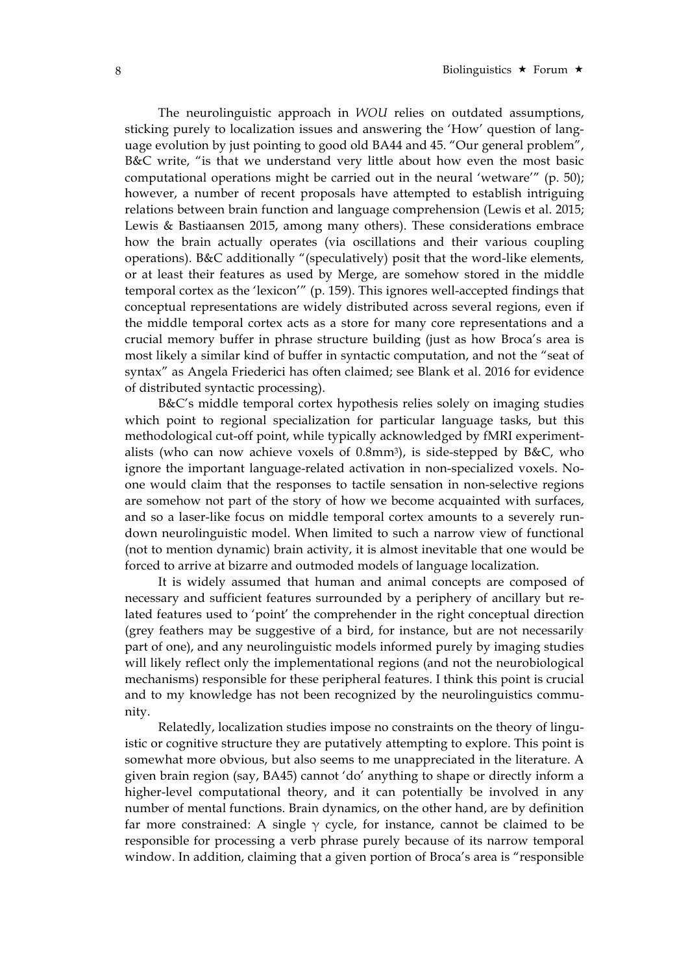The neurolinguistic approach in *WOU* relies on outdated assumptions, sticking purely to localization issues and answering the 'How' question of language evolution by just pointing to good old BA44 and 45. "Our general problem", B&C write, "is that we understand very little about how even the most basic computational operations might be carried out in the neural 'wetware'" (p. 50); however, a number of recent proposals have attempted to establish intriguing relations between brain function and language comprehension (Lewis et al. 2015; Lewis & Bastiaansen 2015, among many others). These considerations embrace how the brain actually operates (via oscillations and their various coupling operations). B&C additionally "(speculatively) posit that the word-like elements, or at least their features as used by Merge, are somehow stored in the middle temporal cortex as the 'lexicon'" (p. 159). This ignores well-accepted findings that conceptual representations are widely distributed across several regions, even if the middle temporal cortex acts as a store for many core representations and a crucial memory buffer in phrase structure building (just as how Broca's area is most likely a similar kind of buffer in syntactic computation, and not the "seat of syntax" as Angela Friederici has often claimed; see Blank et al. 2016 for evidence of distributed syntactic processing).

B&C's middle temporal cortex hypothesis relies solely on imaging studies which point to regional specialization for particular language tasks, but this methodological cut-off point, while typically acknowledged by fMRI experimentalists (who can now achieve voxels of 0.8mm3), is side-stepped by B&C, who ignore the important language-related activation in non-specialized voxels. Noone would claim that the responses to tactile sensation in non-selective regions are somehow not part of the story of how we become acquainted with surfaces, and so a laser-like focus on middle temporal cortex amounts to a severely rundown neurolinguistic model. When limited to such a narrow view of functional (not to mention dynamic) brain activity, it is almost inevitable that one would be forced to arrive at bizarre and outmoded models of language localization.

It is widely assumed that human and animal concepts are composed of necessary and sufficient features surrounded by a periphery of ancillary but related features used to 'point' the comprehender in the right conceptual direction (grey feathers may be suggestive of a bird, for instance, but are not necessarily part of one), and any neurolinguistic models informed purely by imaging studies will likely reflect only the implementational regions (and not the neurobiological mechanisms) responsible for these peripheral features. I think this point is crucial and to my knowledge has not been recognized by the neurolinguistics community.

Relatedly, localization studies impose no constraints on the theory of linguistic or cognitive structure they are putatively attempting to explore. This point is somewhat more obvious, but also seems to me unappreciated in the literature. A given brain region (say, BA45) cannot 'do' anything to shape or directly inform a higher-level computational theory, and it can potentially be involved in any number of mental functions. Brain dynamics, on the other hand, are by definition far more constrained: A single  $\gamma$  cycle, for instance, cannot be claimed to be responsible for processing a verb phrase purely because of its narrow temporal window. In addition, claiming that a given portion of Broca's area is "responsible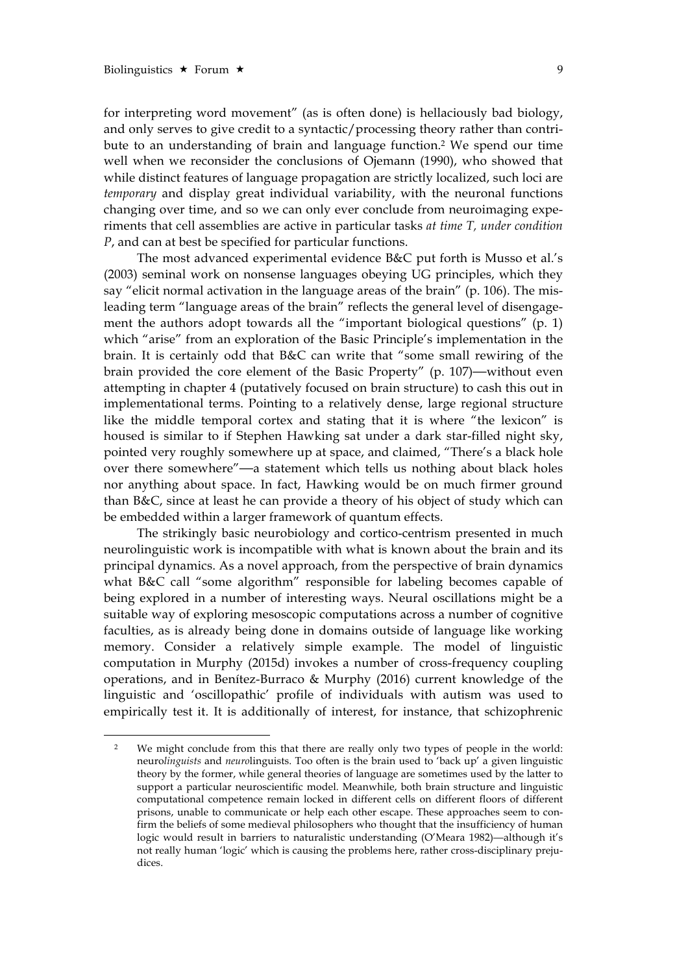$\overline{a}$ 

for interpreting word movement" (as is often done) is hellaciously bad biology, and only serves to give credit to a syntactic/processing theory rather than contribute to an understanding of brain and language function.2 We spend our time well when we reconsider the conclusions of Ojemann (1990), who showed that while distinct features of language propagation are strictly localized, such loci are *temporary* and display great individual variability, with the neuronal functions changing over time, and so we can only ever conclude from neuroimaging experiments that cell assemblies are active in particular tasks *at time T, under condition P*, and can at best be specified for particular functions.

The most advanced experimental evidence B&C put forth is Musso et al.'s (2003) seminal work on nonsense languages obeying UG principles, which they say "elicit normal activation in the language areas of the brain" (p. 106). The misleading term "language areas of the brain" reflects the general level of disengagement the authors adopt towards all the "important biological questions" (p. 1) which "arise" from an exploration of the Basic Principle's implementation in the brain. It is certainly odd that B&C can write that "some small rewiring of the brain provided the core element of the Basic Property" (p. 107)—without even attempting in chapter 4 (putatively focused on brain structure) to cash this out in implementational terms. Pointing to a relatively dense, large regional structure like the middle temporal cortex and stating that it is where "the lexicon" is housed is similar to if Stephen Hawking sat under a dark star-filled night sky, pointed very roughly somewhere up at space, and claimed, "There's a black hole over there somewhere"—a statement which tells us nothing about black holes nor anything about space. In fact, Hawking would be on much firmer ground than B&C, since at least he can provide a theory of his object of study which can be embedded within a larger framework of quantum effects.

The strikingly basic neurobiology and cortico-centrism presented in much neurolinguistic work is incompatible with what is known about the brain and its principal dynamics. As a novel approach, from the perspective of brain dynamics what B&C call "some algorithm" responsible for labeling becomes capable of being explored in a number of interesting ways. Neural oscillations might be a suitable way of exploring mesoscopic computations across a number of cognitive faculties, as is already being done in domains outside of language like working memory. Consider a relatively simple example. The model of linguistic computation in Murphy (2015d) invokes a number of cross-frequency coupling operations, and in Benítez-Burraco & Murphy (2016) current knowledge of the linguistic and 'oscillopathic' profile of individuals with autism was used to empirically test it. It is additionally of interest, for instance, that schizophrenic

<sup>&</sup>lt;sup>2</sup> We might conclude from this that there are really only two types of people in the world: neuro*linguists* and *neuro*linguists. Too often is the brain used to 'back up' a given linguistic theory by the former, while general theories of language are sometimes used by the latter to support a particular neuroscientific model. Meanwhile, both brain structure and linguistic computational competence remain locked in different cells on different floors of different prisons, unable to communicate or help each other escape. These approaches seem to confirm the beliefs of some medieval philosophers who thought that the insufficiency of human logic would result in barriers to naturalistic understanding (O'Meara 1982)—although it's not really human 'logic' which is causing the problems here, rather cross-disciplinary prejudices.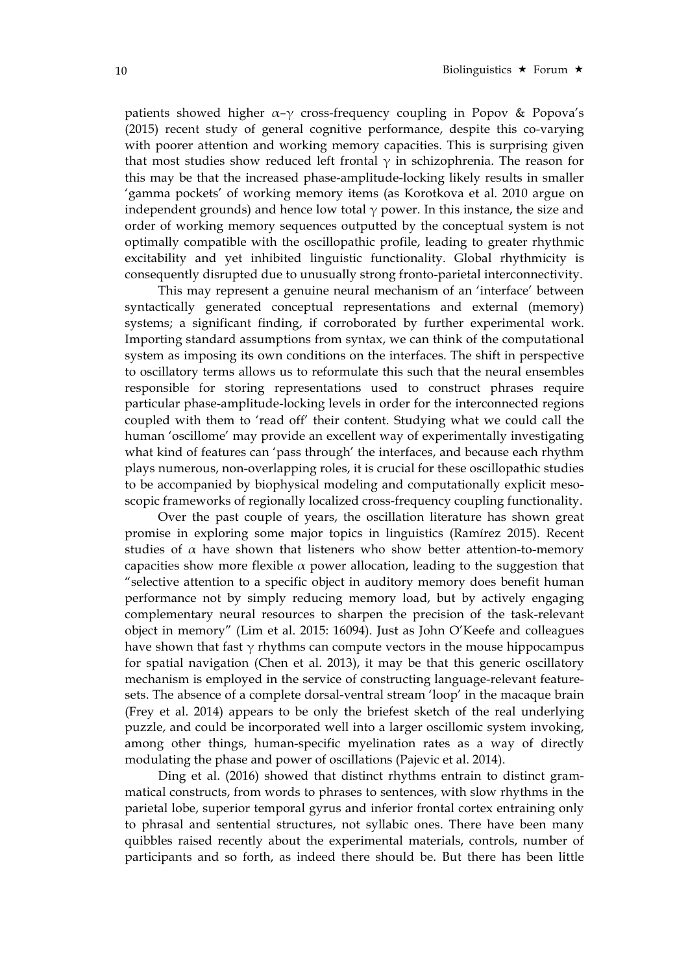patients showed higher  $\alpha-\gamma$  cross-frequency coupling in Popov & Popova's (2015) recent study of general cognitive performance, despite this co-varying with poorer attention and working memory capacities. This is surprising given that most studies show reduced left frontal  $\gamma$  in schizophrenia. The reason for this may be that the increased phase-amplitude-locking likely results in smaller 'gamma pockets' of working memory items (as Korotkova et al. 2010 argue on independent grounds) and hence low total  $\gamma$  power. In this instance, the size and order of working memory sequences outputted by the conceptual system is not optimally compatible with the oscillopathic profile, leading to greater rhythmic excitability and yet inhibited linguistic functionality. Global rhythmicity is consequently disrupted due to unusually strong fronto-parietal interconnectivity.

This may represent a genuine neural mechanism of an 'interface' between syntactically generated conceptual representations and external (memory) systems; a significant finding, if corroborated by further experimental work. Importing standard assumptions from syntax, we can think of the computational system as imposing its own conditions on the interfaces. The shift in perspective to oscillatory terms allows us to reformulate this such that the neural ensembles responsible for storing representations used to construct phrases require particular phase-amplitude-locking levels in order for the interconnected regions coupled with them to 'read off' their content. Studying what we could call the human 'oscillome' may provide an excellent way of experimentally investigating what kind of features can 'pass through' the interfaces, and because each rhythm plays numerous, non-overlapping roles, it is crucial for these oscillopathic studies to be accompanied by biophysical modeling and computationally explicit mesoscopic frameworks of regionally localized cross-frequency coupling functionality.

Over the past couple of years, the oscillation literature has shown great promise in exploring some major topics in linguistics (Ramírez 2015). Recent studies of  $\alpha$  have shown that listeners who show better attention-to-memory capacities show more flexible  $\alpha$  power allocation, leading to the suggestion that "selective attention to a specific object in auditory memory does benefit human performance not by simply reducing memory load, but by actively engaging complementary neural resources to sharpen the precision of the task-relevant object in memory" (Lim et al. 2015: 16094). Just as John O'Keefe and colleagues have shown that fast  $\gamma$  rhythms can compute vectors in the mouse hippocampus for spatial navigation (Chen et al. 2013), it may be that this generic oscillatory mechanism is employed in the service of constructing language-relevant featuresets. The absence of a complete dorsal-ventral stream 'loop' in the macaque brain (Frey et al. 2014) appears to be only the briefest sketch of the real underlying puzzle, and could be incorporated well into a larger oscillomic system invoking, among other things, human-specific myelination rates as a way of directly modulating the phase and power of oscillations (Pajevic et al. 2014).

Ding et al. (2016) showed that distinct rhythms entrain to distinct grammatical constructs, from words to phrases to sentences, with slow rhythms in the parietal lobe, superior temporal gyrus and inferior frontal cortex entraining only to phrasal and sentential structures, not syllabic ones. There have been many quibbles raised recently about the experimental materials, controls, number of participants and so forth, as indeed there should be. But there has been little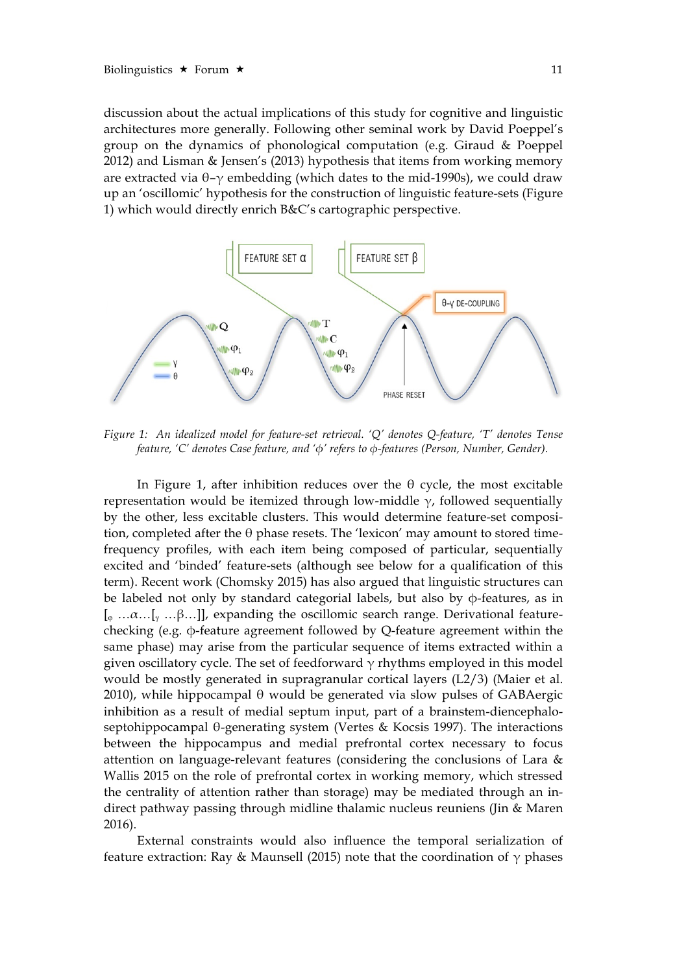discussion about the actual implications of this study for cognitive and linguistic architectures more generally. Following other seminal work by David Poeppel's group on the dynamics of phonological computation (e.g. Giraud & Poeppel 2012) and Lisman & Jensen's (2013) hypothesis that items from working memory are extracted via  $θ$ -γ embedding (which dates to the mid-1990s), we could draw up an 'oscillomic' hypothesis for the construction of linguistic feature-sets (Figure 1) which would directly enrich B&C's cartographic perspective.



*Figure 1: An idealized model for feature-set retrieval. 'Q' denotes Q-feature, 'T' denotes Tense feature, 'C' denotes Case feature, and 'φ' refers to φ-features (Person, Number, Gender).* 

In Figure 1, after inhibition reduces over the  $\theta$  cycle, the most excitable representation would be itemized through low-middle  $\gamma$ , followed sequentially by the other, less excitable clusters. This would determine feature-set composition, completed after the θ phase resets. The 'lexicon' may amount to stored timefrequency profiles, with each item being composed of particular, sequentially excited and 'binded' feature-sets (although see below for a qualification of this term). Recent work (Chomsky 2015) has also argued that linguistic structures can be labeled not only by standard categorial labels, but also by φ-features, as in  $\left[\begin{smallmatrix}\varphi & \ldots & \varphi & \ldots & \varphi \\ \varphi & \ldots & \varphi & \ldots & \varphi \end{smallmatrix}\right]$ , expanding the oscillomic search range. Derivational featurechecking (e.g. φ-feature agreement followed by Q-feature agreement within the same phase) may arise from the particular sequence of items extracted within a given oscillatory cycle. The set of feedforward  $\gamma$  rhythms employed in this model would be mostly generated in supragranular cortical layers (L2/3) (Maier et al. 2010), while hippocampal θ would be generated via slow pulses of GABAergic inhibition as a result of medial septum input, part of a brainstem-diencephaloseptohippocampal θ-generating system (Vertes & Kocsis 1997). The interactions between the hippocampus and medial prefrontal cortex necessary to focus attention on language-relevant features (considering the conclusions of Lara & Wallis 2015 on the role of prefrontal cortex in working memory, which stressed the centrality of attention rather than storage) may be mediated through an indirect pathway passing through midline thalamic nucleus reuniens (Jin & Maren 2016).

External constraints would also influence the temporal serialization of feature extraction: Ray & Maunsell (2015) note that the coordination of  $\gamma$  phases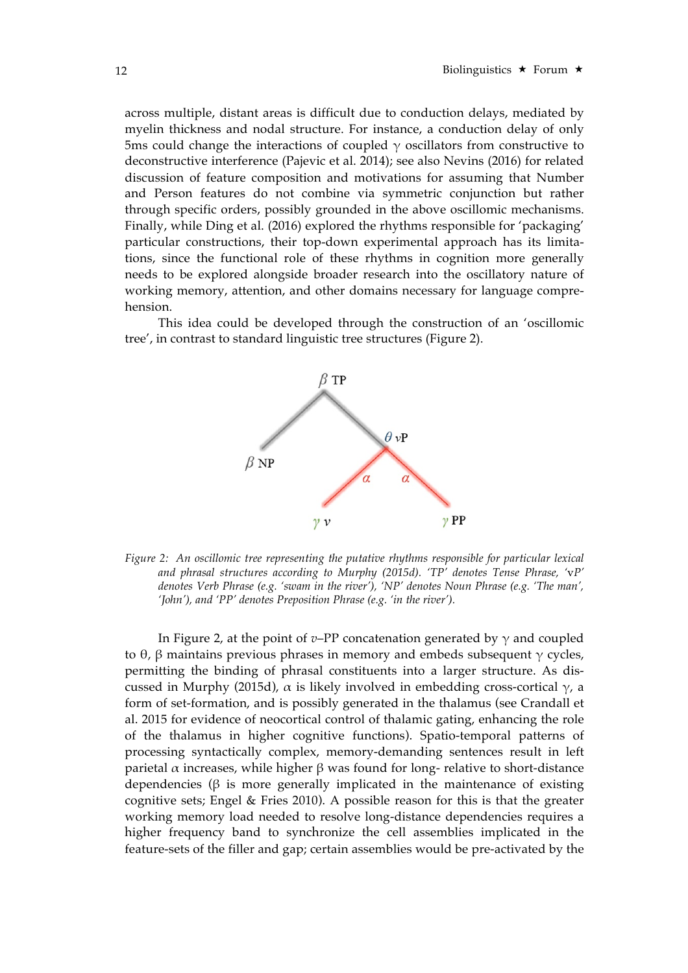across multiple, distant areas is difficult due to conduction delays, mediated by myelin thickness and nodal structure. For instance, a conduction delay of only 5ms could change the interactions of coupled  $\gamma$  oscillators from constructive to deconstructive interference (Pajevic et al. 2014); see also Nevins (2016) for related discussion of feature composition and motivations for assuming that Number and Person features do not combine via symmetric conjunction but rather through specific orders, possibly grounded in the above oscillomic mechanisms. Finally, while Ding et al. (2016) explored the rhythms responsible for 'packaging' particular constructions, their top-down experimental approach has its limitations, since the functional role of these rhythms in cognition more generally needs to be explored alongside broader research into the oscillatory nature of working memory, attention, and other domains necessary for language comprehension.

This idea could be developed through the construction of an 'oscillomic tree', in contrast to standard linguistic tree structures (Figure 2).



*Figure 2: An oscillomic tree representing the putative rhythms responsible for particular lexical and phrasal structures according to Murphy (2015d). 'TP' denotes Tense Phrase, '*v*P' denotes Verb Phrase (e.g. 'swam in the river'), 'NP' denotes Noun Phrase (e.g. 'The man', 'John'), and 'PP' denotes Preposition Phrase (e.g. 'in the river').* 

In Figure 2, at the point of *v*–PP concatenation generated by  $\gamma$  and coupled to θ, β maintains previous phrases in memory and embeds subsequent  $γ$  cycles, permitting the binding of phrasal constituents into a larger structure. As discussed in Murphy (2015d),  $\alpha$  is likely involved in embedding cross-cortical γ, a form of set-formation, and is possibly generated in the thalamus (see Crandall et al. 2015 for evidence of neocortical control of thalamic gating, enhancing the role of the thalamus in higher cognitive functions). Spatio-temporal patterns of processing syntactically complex, memory-demanding sentences result in left parietal α increases, while higher β was found for long- relative to short-distance dependencies ( $\beta$  is more generally implicated in the maintenance of existing cognitive sets; Engel & Fries 2010). A possible reason for this is that the greater working memory load needed to resolve long-distance dependencies requires a higher frequency band to synchronize the cell assemblies implicated in the feature-sets of the filler and gap; certain assemblies would be pre-activated by the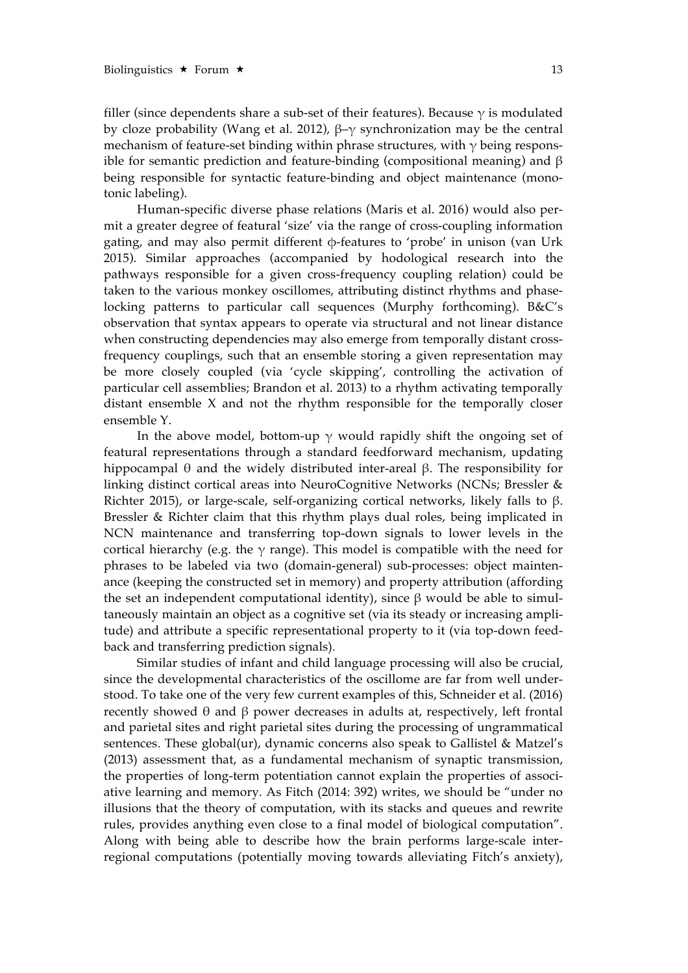filler (since dependents share a sub-set of their features). Because  $\gamma$  is modulated by cloze probability (Wang et al. 2012), β–γ synchronization may be the central mechanism of feature-set binding within phrase structures, with  $\gamma$  being responsible for semantic prediction and feature-binding (compositional meaning) and  $\beta$ being responsible for syntactic feature-binding and object maintenance (monotonic labeling).

Human-specific diverse phase relations (Maris et al. 2016) would also permit a greater degree of featural 'size' via the range of cross-coupling information gating, and may also permit different φ-features to 'probe' in unison (van Urk 2015). Similar approaches (accompanied by hodological research into the pathways responsible for a given cross-frequency coupling relation) could be taken to the various monkey oscillomes, attributing distinct rhythms and phaselocking patterns to particular call sequences (Murphy forthcoming). B&C's observation that syntax appears to operate via structural and not linear distance when constructing dependencies may also emerge from temporally distant crossfrequency couplings, such that an ensemble storing a given representation may be more closely coupled (via 'cycle skipping', controlling the activation of particular cell assemblies; Brandon et al. 2013) to a rhythm activating temporally distant ensemble X and not the rhythm responsible for the temporally closer ensemble Y.

In the above model, bottom-up  $\gamma$  would rapidly shift the ongoing set of featural representations through a standard feedforward mechanism, updating hippocampal θ and the widely distributed inter-areal β. The responsibility for linking distinct cortical areas into NeuroCognitive Networks (NCNs; Bressler & Richter 2015), or large-scale, self-organizing cortical networks, likely falls to β. Bressler & Richter claim that this rhythm plays dual roles, being implicated in NCN maintenance and transferring top-down signals to lower levels in the cortical hierarchy (e.g. the  $\gamma$  range). This model is compatible with the need for phrases to be labeled via two (domain-general) sub-processes: object maintenance (keeping the constructed set in memory) and property attribution (affording the set an independent computational identity), since β would be able to simultaneously maintain an object as a cognitive set (via its steady or increasing amplitude) and attribute a specific representational property to it (via top-down feedback and transferring prediction signals).

Similar studies of infant and child language processing will also be crucial, since the developmental characteristics of the oscillome are far from well understood. To take one of the very few current examples of this, Schneider et al. (2016) recently showed θ and β power decreases in adults at, respectively, left frontal and parietal sites and right parietal sites during the processing of ungrammatical sentences. These global(ur), dynamic concerns also speak to Gallistel & Matzel's (2013) assessment that, as a fundamental mechanism of synaptic transmission, the properties of long-term potentiation cannot explain the properties of associative learning and memory. As Fitch (2014: 392) writes, we should be "under no illusions that the theory of computation, with its stacks and queues and rewrite rules, provides anything even close to a final model of biological computation". Along with being able to describe how the brain performs large-scale interregional computations (potentially moving towards alleviating Fitch's anxiety),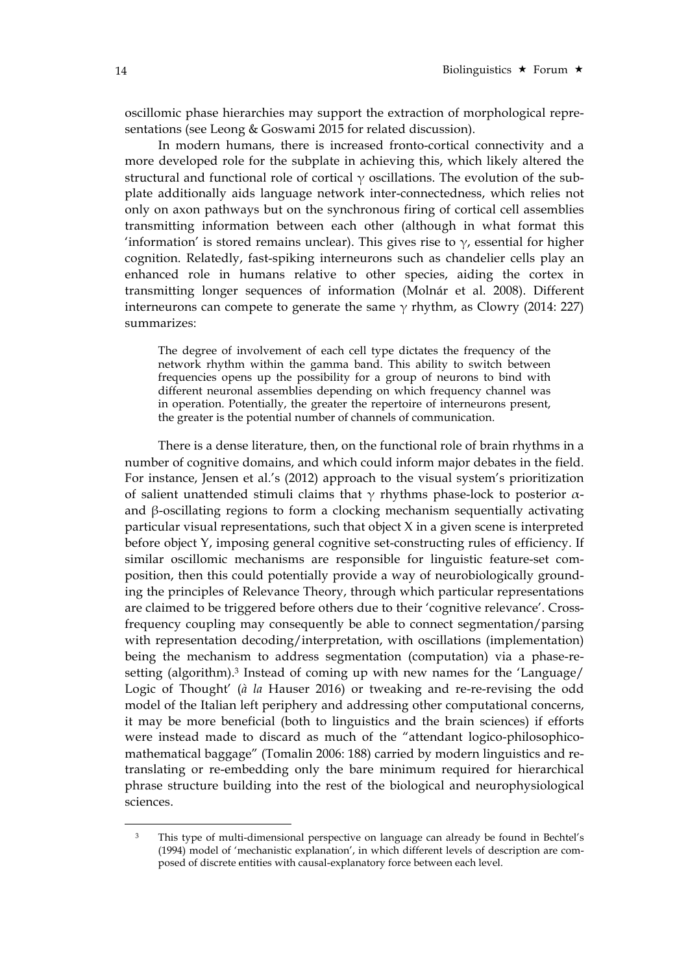oscillomic phase hierarchies may support the extraction of morphological representations (see Leong & Goswami 2015 for related discussion).

In modern humans, there is increased fronto-cortical connectivity and a more developed role for the subplate in achieving this, which likely altered the structural and functional role of cortical  $\gamma$  oscillations. The evolution of the subplate additionally aids language network inter-connectedness, which relies not only on axon pathways but on the synchronous firing of cortical cell assemblies transmitting information between each other (although in what format this 'information' is stored remains unclear). This gives rise to  $\gamma$ , essential for higher cognition. Relatedly, fast-spiking interneurons such as chandelier cells play an enhanced role in humans relative to other species, aiding the cortex in transmitting longer sequences of information (Molnár et al. 2008). Different interneurons can compete to generate the same  $\gamma$  rhythm, as Clowry (2014: 227) summarizes:

The degree of involvement of each cell type dictates the frequency of the network rhythm within the gamma band. This ability to switch between frequencies opens up the possibility for a group of neurons to bind with different neuronal assemblies depending on which frequency channel was in operation. Potentially, the greater the repertoire of interneurons present, the greater is the potential number of channels of communication.

There is a dense literature, then, on the functional role of brain rhythms in a number of cognitive domains, and which could inform major debates in the field. For instance, Jensen et al.'s (2012) approach to the visual system's prioritization of salient unattended stimuli claims that γ rhythms phase-lock to posterior αand β-oscillating regions to form a clocking mechanism sequentially activating particular visual representations, such that object X in a given scene is interpreted before object Y, imposing general cognitive set-constructing rules of efficiency. If similar oscillomic mechanisms are responsible for linguistic feature-set composition, then this could potentially provide a way of neurobiologically grounding the principles of Relevance Theory, through which particular representations are claimed to be triggered before others due to their 'cognitive relevance'. Crossfrequency coupling may consequently be able to connect segmentation/parsing with representation decoding/interpretation, with oscillations (implementation) being the mechanism to address segmentation (computation) via a phase-resetting (algorithm).3 Instead of coming up with new names for the 'Language/ Logic of Thought' (*à la* Hauser 2016) or tweaking and re-re-revising the odd model of the Italian left periphery and addressing other computational concerns, it may be more beneficial (both to linguistics and the brain sciences) if efforts were instead made to discard as much of the "attendant logico-philosophicomathematical baggage" (Tomalin 2006: 188) carried by modern linguistics and retranslating or re-embedding only the bare minimum required for hierarchical phrase structure building into the rest of the biological and neurophysiological sciences.

 $\overline{a}$ 

<sup>3</sup> This type of multi-dimensional perspective on language can already be found in Bechtel's (1994) model of 'mechanistic explanation', in which different levels of description are composed of discrete entities with causal-explanatory force between each level.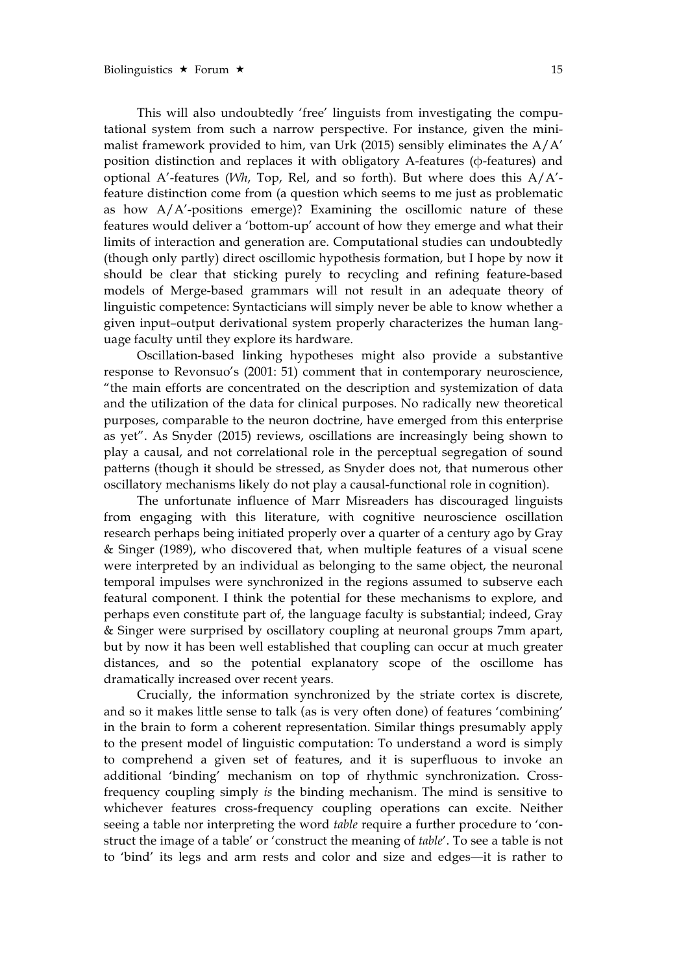This will also undoubtedly 'free' linguists from investigating the computational system from such a narrow perspective. For instance, given the minimalist framework provided to him, van Urk (2015) sensibly eliminates the A/A' position distinction and replaces it with obligatory A-features (φ-features) and optional A'-features (*Wh*, Top, Rel, and so forth). But where does this A/A' feature distinction come from (a question which seems to me just as problematic as how A/A'-positions emerge)? Examining the oscillomic nature of these features would deliver a 'bottom-up' account of how they emerge and what their limits of interaction and generation are. Computational studies can undoubtedly (though only partly) direct oscillomic hypothesis formation, but I hope by now it should be clear that sticking purely to recycling and refining feature-based models of Merge-based grammars will not result in an adequate theory of linguistic competence: Syntacticians will simply never be able to know whether a given input–output derivational system properly characterizes the human language faculty until they explore its hardware.

Oscillation-based linking hypotheses might also provide a substantive response to Revonsuo's (2001: 51) comment that in contemporary neuroscience, "the main efforts are concentrated on the description and systemization of data and the utilization of the data for clinical purposes. No radically new theoretical purposes, comparable to the neuron doctrine, have emerged from this enterprise as yet". As Snyder (2015) reviews, oscillations are increasingly being shown to play a causal, and not correlational role in the perceptual segregation of sound patterns (though it should be stressed, as Snyder does not, that numerous other oscillatory mechanisms likely do not play a causal-functional role in cognition).

The unfortunate influence of Marr Misreaders has discouraged linguists from engaging with this literature, with cognitive neuroscience oscillation research perhaps being initiated properly over a quarter of a century ago by Gray & Singer (1989), who discovered that, when multiple features of a visual scene were interpreted by an individual as belonging to the same object, the neuronal temporal impulses were synchronized in the regions assumed to subserve each featural component. I think the potential for these mechanisms to explore, and perhaps even constitute part of, the language faculty is substantial; indeed, Gray & Singer were surprised by oscillatory coupling at neuronal groups 7mm apart, but by now it has been well established that coupling can occur at much greater distances, and so the potential explanatory scope of the oscillome has dramatically increased over recent years.

Crucially, the information synchronized by the striate cortex is discrete, and so it makes little sense to talk (as is very often done) of features 'combining' in the brain to form a coherent representation. Similar things presumably apply to the present model of linguistic computation: To understand a word is simply to comprehend a given set of features, and it is superfluous to invoke an additional 'binding' mechanism on top of rhythmic synchronization. Crossfrequency coupling simply *is* the binding mechanism. The mind is sensitive to whichever features cross-frequency coupling operations can excite. Neither seeing a table nor interpreting the word *table* require a further procedure to 'construct the image of a table' or 'construct the meaning of *table*'. To see a table is not to 'bind' its legs and arm rests and color and size and edges—it is rather to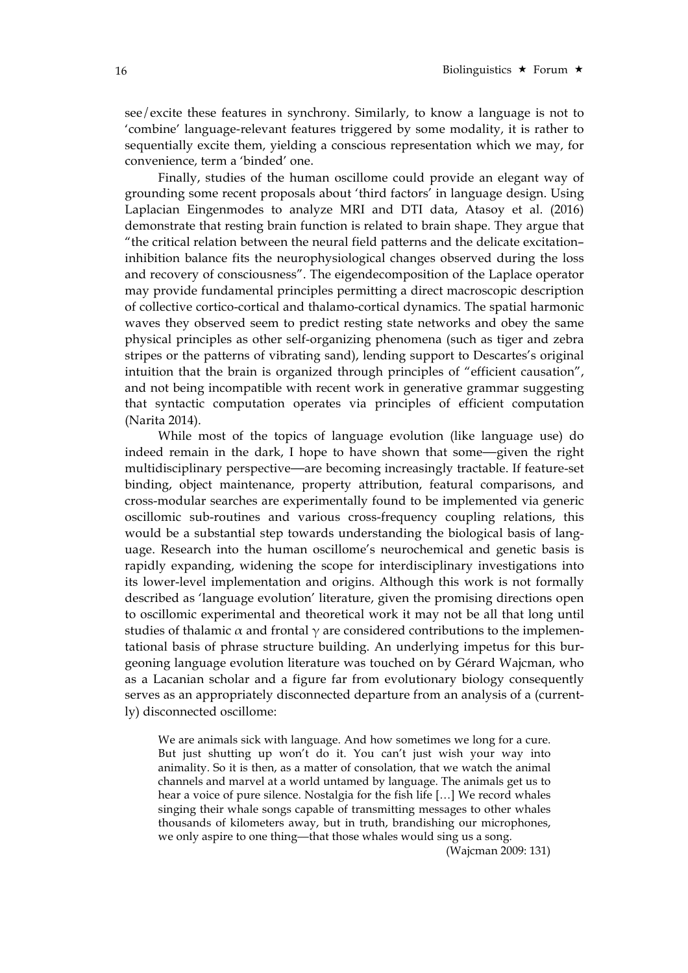see/excite these features in synchrony. Similarly, to know a language is not to 'combine' language-relevant features triggered by some modality, it is rather to sequentially excite them, yielding a conscious representation which we may, for convenience, term a 'binded' one.

Finally, studies of the human oscillome could provide an elegant way of grounding some recent proposals about 'third factors' in language design. Using Laplacian Eingenmodes to analyze MRI and DTI data, Atasoy et al. (2016) demonstrate that resting brain function is related to brain shape. They argue that "the critical relation between the neural field patterns and the delicate excitation– inhibition balance fits the neurophysiological changes observed during the loss and recovery of consciousness". The eigendecomposition of the Laplace operator may provide fundamental principles permitting a direct macroscopic description of collective cortico-cortical and thalamo-cortical dynamics. The spatial harmonic waves they observed seem to predict resting state networks and obey the same physical principles as other self-organizing phenomena (such as tiger and zebra stripes or the patterns of vibrating sand), lending support to Descartes's original intuition that the brain is organized through principles of "efficient causation", and not being incompatible with recent work in generative grammar suggesting that syntactic computation operates via principles of efficient computation (Narita 2014).

While most of the topics of language evolution (like language use) do indeed remain in the dark, I hope to have shown that some—given the right multidisciplinary perspective—are becoming increasingly tractable. If feature-set binding, object maintenance, property attribution, featural comparisons, and cross-modular searches are experimentally found to be implemented via generic oscillomic sub-routines and various cross-frequency coupling relations, this would be a substantial step towards understanding the biological basis of language. Research into the human oscillome's neurochemical and genetic basis is rapidly expanding, widening the scope for interdisciplinary investigations into its lower-level implementation and origins. Although this work is not formally described as 'language evolution' literature, given the promising directions open to oscillomic experimental and theoretical work it may not be all that long until studies of thalamic  $\alpha$  and frontal  $\gamma$  are considered contributions to the implementational basis of phrase structure building. An underlying impetus for this burgeoning language evolution literature was touched on by Gérard Wajcman, who as a Lacanian scholar and a figure far from evolutionary biology consequently serves as an appropriately disconnected departure from an analysis of a (currently) disconnected oscillome:

We are animals sick with language. And how sometimes we long for a cure. But just shutting up won't do it. You can't just wish your way into animality. So it is then, as a matter of consolation, that we watch the animal channels and marvel at a world untamed by language. The animals get us to hear a voice of pure silence. Nostalgia for the fish life […] We record whales singing their whale songs capable of transmitting messages to other whales thousands of kilometers away, but in truth, brandishing our microphones, we only aspire to one thing—that those whales would sing us a song.

(Wajcman 2009: 131)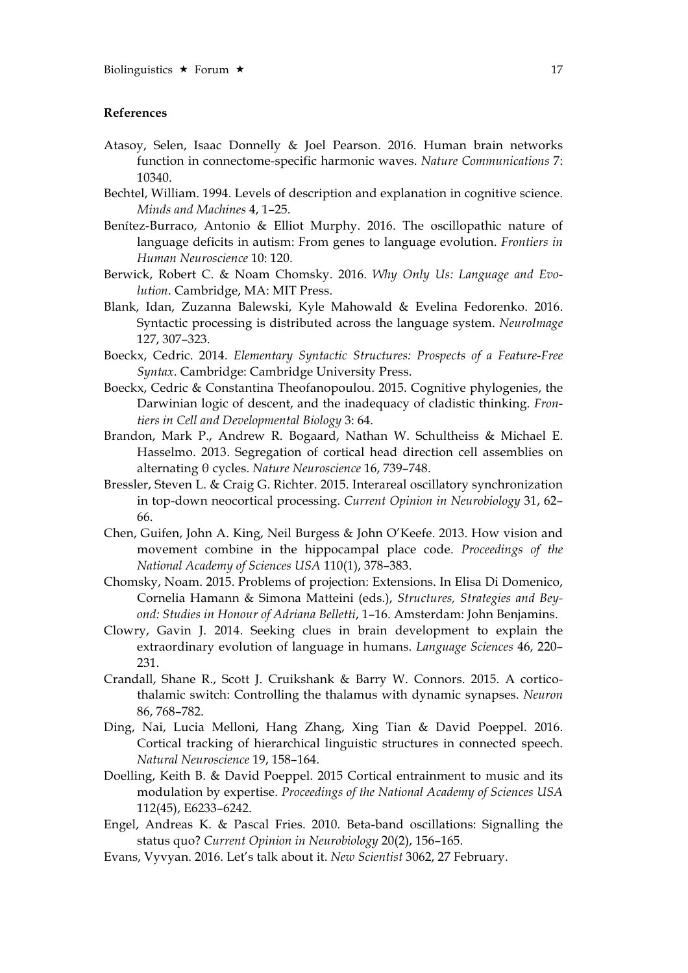## **References**

- Atasoy, Selen, Isaac Donnelly & Joel Pearson. 2016. Human brain networks function in connectome-specific harmonic waves. *Nature Communications* 7: 10340.
- Bechtel, William. 1994. Levels of description and explanation in cognitive science. *Minds and Machines* 4, 1–25.
- Benítez-Burraco, Antonio & Elliot Murphy. 2016. The oscillopathic nature of language deficits in autism: From genes to language evolution. *Frontiers in Human Neuroscience* 10: 120.
- Berwick, Robert C. & Noam Chomsky. 2016. *Why Only Us: Language and Evolution*. Cambridge, MA: MIT Press.
- Blank, Idan, Zuzanna Balewski, Kyle Mahowald & Evelina Fedorenko. 2016. Syntactic processing is distributed across the language system. *NeuroImage* 127, 307–323.
- Boeckx, Cedric. 2014. *Elementary Syntactic Structures: Prospects of a Feature-Free Syntax*. Cambridge: Cambridge University Press.
- Boeckx, Cedric & Constantina Theofanopoulou. 2015. Cognitive phylogenies, the Darwinian logic of descent, and the inadequacy of cladistic thinking. *Frontiers in Cell and Developmental Biology* 3: 64.
- Brandon, Mark P., Andrew R. Bogaard, Nathan W. Schultheiss & Michael E. Hasselmo. 2013. Segregation of cortical head direction cell assemblies on alternating θ cycles. *Nature Neuroscience* 16, 739–748.
- Bressler, Steven L. & Craig G. Richter. 2015. Interareal oscillatory synchronization in top-down neocortical processing. *Current Opinion in Neurobiology* 31, 62– 66.
- Chen, Guifen, John A. King, Neil Burgess & John O'Keefe. 2013. How vision and movement combine in the hippocampal place code. *Proceedings of the National Academy of Sciences USA* 110(1), 378–383.
- Chomsky, Noam. 2015. Problems of projection: Extensions. In Elisa Di Domenico, Cornelia Hamann & Simona Matteini (eds.), *Structures, Strategies and Beyond: Studies in Honour of Adriana Belletti*, 1–16. Amsterdam: John Benjamins.
- Clowry, Gavin J. 2014. Seeking clues in brain development to explain the extraordinary evolution of language in humans. *Language Sciences* 46, 220– 231.
- Crandall, Shane R., Scott J. Cruikshank & Barry W. Connors. 2015. A corticothalamic switch: Controlling the thalamus with dynamic synapses. *Neuron* 86, 768–782.
- Ding, Nai, Lucia Melloni, Hang Zhang, Xing Tian & David Poeppel. 2016. Cortical tracking of hierarchical linguistic structures in connected speech. *Natural Neuroscience* 19, 158–164.
- Doelling, Keith B. & David Poeppel. 2015 Cortical entrainment to music and its modulation by expertise. *Proceedings of the National Academy of Sciences USA* 112(45), E6233–6242.
- Engel, Andreas K. & Pascal Fries. 2010. Beta-band oscillations: Signalling the status quo? *Current Opinion in Neurobiology* 20(2), 156–165.
- Evans, Vyvyan. 2016. Let's talk about it. *New Scientist* 3062, 27 February.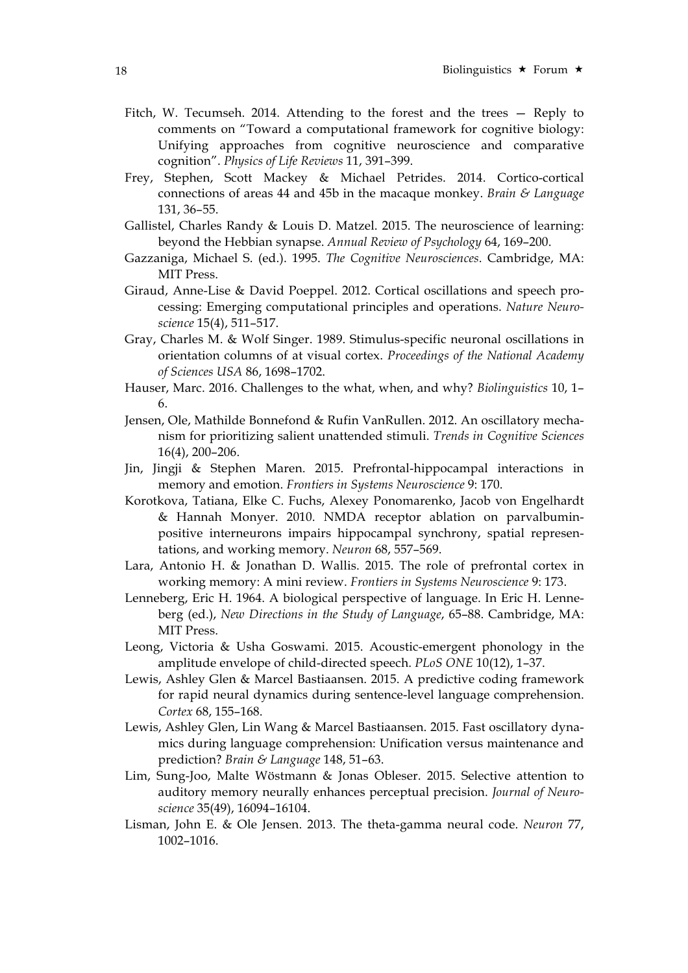- Fitch, W. Tecumseh. 2014. Attending to the forest and the trees Reply to comments on "Toward a computational framework for cognitive biology: Unifying approaches from cognitive neuroscience and comparative cognition". *Physics of Life Reviews* 11, 391–399.
- Frey, Stephen, Scott Mackey & Michael Petrides. 2014. Cortico-cortical connections of areas 44 and 45b in the macaque monkey. *Brain & Language* 131, 36–55.
- Gallistel, Charles Randy & Louis D. Matzel. 2015. The neuroscience of learning: beyond the Hebbian synapse. *Annual Review of Psychology* 64, 169–200.
- Gazzaniga, Michael S. (ed.). 1995. *The Cognitive Neurosciences*. Cambridge, MA: MIT Press.
- Giraud, Anne-Lise & David Poeppel. 2012. Cortical oscillations and speech processing: Emerging computational principles and operations. *Nature Neuroscience* 15(4), 511–517.
- Gray, Charles M. & Wolf Singer. 1989. Stimulus-specific neuronal oscillations in orientation columns of at visual cortex. *Proceedings of the National Academy of Sciences USA* 86, 1698–1702.
- Hauser, Marc. 2016. Challenges to the what, when, and why? *Biolinguistics* 10, 1– 6.
- Jensen, Ole, Mathilde Bonnefond & Rufin VanRullen. 2012. An oscillatory mechanism for prioritizing salient unattended stimuli. *Trends in Cognitive Sciences* 16(4), 200–206.
- Jin, Jingji & Stephen Maren. 2015. Prefrontal-hippocampal interactions in memory and emotion. *Frontiers in Systems Neuroscience* 9: 170.
- Korotkova, Tatiana, Elke C. Fuchs, Alexey Ponomarenko, Jacob von Engelhardt & Hannah Monyer. 2010. NMDA receptor ablation on parvalbuminpositive interneurons impairs hippocampal synchrony, spatial representations, and working memory. *Neuron* 68, 557–569.
- Lara, Antonio H. & Jonathan D. Wallis. 2015. The role of prefrontal cortex in working memory: A mini review. *Frontiers in Systems Neuroscience* 9: 173.
- Lenneberg, Eric H. 1964. A biological perspective of language. In Eric H. Lenneberg (ed.), *New Directions in the Study of Language*, 65–88. Cambridge, MA: MIT Press.
- Leong, Victoria & Usha Goswami. 2015. Acoustic-emergent phonology in the amplitude envelope of child-directed speech. *PLoS ONE* 10(12), 1–37.
- Lewis, Ashley Glen & Marcel Bastiaansen. 2015. A predictive coding framework for rapid neural dynamics during sentence-level language comprehension. *Cortex* 68, 155–168.
- Lewis, Ashley Glen, Lin Wang & Marcel Bastiaansen. 2015. Fast oscillatory dynamics during language comprehension: Unification versus maintenance and prediction? *Brain & Language* 148, 51–63.
- Lim, Sung-Joo, Malte Wöstmann & Jonas Obleser. 2015. Selective attention to auditory memory neurally enhances perceptual precision. *Journal of Neuroscience* 35(49), 16094–16104.
- Lisman, John E. & Ole Jensen. 2013. The theta-gamma neural code. *Neuron* 77, 1002–1016.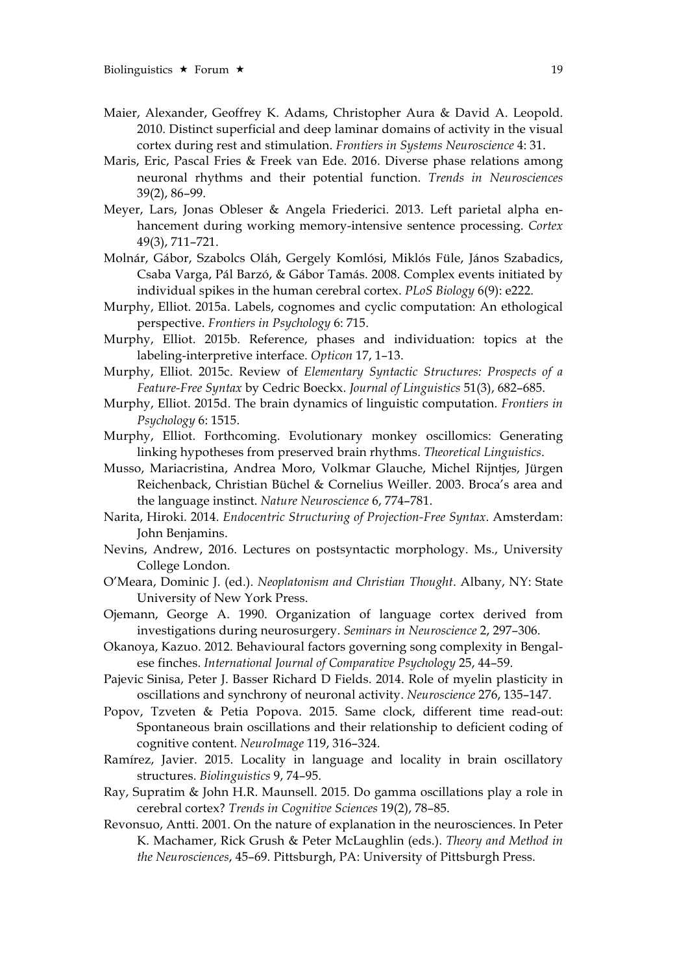- Maier, Alexander, Geoffrey K. Adams, Christopher Aura & David A. Leopold. 2010. Distinct superficial and deep laminar domains of activity in the visual cortex during rest and stimulation. *Frontiers in Systems Neuroscience* 4: 31.
- Maris, Eric, Pascal Fries & Freek van Ede. 2016. Diverse phase relations among neuronal rhythms and their potential function. *Trends in Neurosciences* 39(2), 86–99.
- Meyer, Lars, Jonas Obleser & Angela Friederici. 2013. Left parietal alpha enhancement during working memory-intensive sentence processing. *Cortex* 49(3), 711–721.
- Molnár, Gábor, Szabolcs Oláh, Gergely Komlósi, Miklós Füle, János Szabadics, Csaba Varga, Pál Barzó, & Gábor Tamás. 2008. Complex events initiated by individual spikes in the human cerebral cortex. *PLoS Biology* 6(9): e222.
- Murphy, Elliot. 2015a. Labels, cognomes and cyclic computation: An ethological perspective. *Frontiers in Psychology* 6: 715.
- Murphy, Elliot. 2015b. Reference, phases and individuation: topics at the labeling-interpretive interface. *Opticon* 17, 1–13.
- Murphy, Elliot. 2015c. Review of *Elementary Syntactic Structures: Prospects of a Feature-Free Syntax* by Cedric Boeckx. *Journal of Linguistics* 51(3), 682–685.
- Murphy, Elliot. 2015d. The brain dynamics of linguistic computation. *Frontiers in Psychology* 6: 1515.
- Murphy, Elliot. Forthcoming. Evolutionary monkey oscillomics: Generating linking hypotheses from preserved brain rhythms. *Theoretical Linguistics*.
- Musso, Mariacristina, Andrea Moro, Volkmar Glauche, Michel Rijntjes, Jürgen Reichenback, Christian Büchel & Cornelius Weiller. 2003. Broca's area and the language instinct. *Nature Neuroscience* 6, 774–781.
- Narita, Hiroki. 2014. *Endocentric Structuring of Projection-Free Syntax*. Amsterdam: John Benjamins.
- Nevins, Andrew, 2016. Lectures on postsyntactic morphology. Ms., University College London.
- O'Meara, Dominic J. (ed.). *Neoplatonism and Christian Thought*. Albany, NY: State University of New York Press.
- Ojemann, George A. 1990. Organization of language cortex derived from investigations during neurosurgery. *Seminars in Neuroscience* 2, 297–306.
- Okanoya, Kazuo. 2012. Behavioural factors governing song complexity in Bengalese finches. *International Journal of Comparative Psychology* 25, 44–59.
- Pajevic Sinisa, Peter J. Basser Richard D Fields. 2014. Role of myelin plasticity in oscillations and synchrony of neuronal activity. *Neuroscience* 276, 135–147.
- Popov, Tzveten & Petia Popova. 2015. Same clock, different time read-out: Spontaneous brain oscillations and their relationship to deficient coding of cognitive content. *NeuroImage* 119, 316–324.
- Ramírez, Javier. 2015. Locality in language and locality in brain oscillatory structures. *Biolinguistics* 9, 74–95.
- Ray, Supratim & John H.R. Maunsell. 2015. Do gamma oscillations play a role in cerebral cortex? *Trends in Cognitive Sciences* 19(2), 78–85.
- Revonsuo, Antti. 2001. On the nature of explanation in the neurosciences. In Peter K. Machamer, Rick Grush & Peter McLaughlin (eds.). *Theory and Method in the Neurosciences*, 45–69. Pittsburgh, PA: University of Pittsburgh Press.